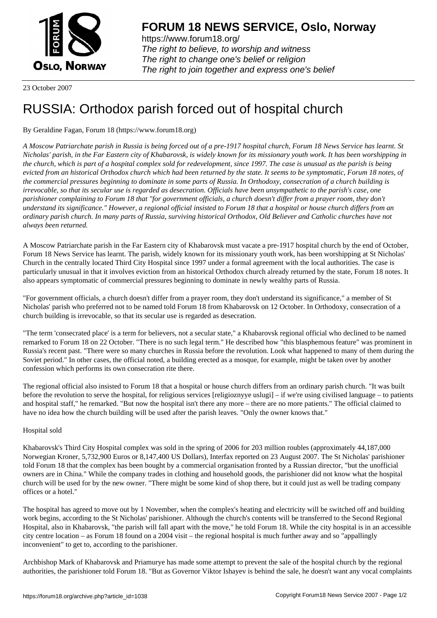

https://www.forum18.org/ The right to believe, to worship and witness The right to change one's belief or religion [The right to join together a](https://www.forum18.org/)nd express one's belief

23 October 2007

## [RUSSIA: Ortho](https://www.forum18.org)dox parish forced out of hospital church

## By Geraldine Fagan, Forum 18 (https://www.forum18.org)

*A Moscow Patriarchate parish in Russia is being forced out of a pre-1917 hospital church, Forum 18 News Service has learnt. St Nicholas' parish, in the Far Eastern city of Khabarovsk, is widely known for its missionary youth work. It has been worshipping in the church, which is part of a hospital complex sold for redevelopment, since 1997. The case is unusual as the parish is being evicted from an historical Orthodox church which had been returned by the state. It seems to be symptomatic, Forum 18 notes, of the commercial pressures beginning to dominate in some parts of Russia. In Orthodoxy, consecration of a church building is irrevocable, so that its secular use is regarded as desecration. Officials have been unsympathetic to the parish's case, one parishioner complaining to Forum 18 that "for government officials, a church doesn't differ from a prayer room, they don't understand its significance." However, a regional official insisted to Forum 18 that a hospital or house church differs from an ordinary parish church. In many parts of Russia, surviving historical Orthodox, Old Believer and Catholic churches have not always been returned.*

A Moscow Patriarchate parish in the Far Eastern city of Khabarovsk must vacate a pre-1917 hospital church by the end of October, Forum 18 News Service has learnt. The parish, widely known for its missionary youth work, has been worshipping at St Nicholas' Church in the centrally located Third City Hospital since 1997 under a formal agreement with the local authorities. The case is particularly unusual in that it involves eviction from an historical Orthodox church already returned by the state, Forum 18 notes. It also appears symptomatic of commercial pressures beginning to dominate in newly wealthy parts of Russia.

"For government officials, a church doesn't differ from a prayer room, they don't understand its significance," a member of St Nicholas' parish who preferred not to be named told Forum 18 from Khabarovsk on 12 October. In Orthodoxy, consecration of a church building is irrevocable, so that its secular use is regarded as desecration.

"The term 'consecrated place' is a term for believers, not a secular state," a Khabarovsk regional official who declined to be named remarked to Forum 18 on 22 October. "There is no such legal term." He described how "this blasphemous feature" was prominent in Russia's recent past. "There were so many churches in Russia before the revolution. Look what happened to many of them during the Soviet period." In other cases, the official noted, a building erected as a mosque, for example, might be taken over by another confession which performs its own consecration rite there.

The regional official also insisted to Forum 18 that a hospital or house church differs from an ordinary parish church. "It was built before the revolution to serve the hospital, for religious services [religioznyve uslugi] – if we're using civilised language – to patients and hospital staff," he remarked. "But now the hospital isn't there any more – there are no more patients." The official claimed to have no idea how the church building will be used after the parish leaves. "Only the owner knows that."

## Hospital sold

Khabarovsk's Third City Hospital complex was sold in the spring of 2006 for 203 million roubles (approximately 44,187,000 Norwegian Kroner, 5,732,900 Euros or 8,147,400 US Dollars), Interfax reported on 23 August 2007. The St Nicholas' parishioner told Forum 18 that the complex has been bought by a commercial organisation fronted by a Russian director, "but the unofficial owners are in China." While the company trades in clothing and household goods, the parishioner did not know what the hospital church will be used for by the new owner. "There might be some kind of shop there, but it could just as well be trading company offices or a hotel."

The hospital has agreed to move out by 1 November, when the complex's heating and electricity will be switched off and building work begins, according to the St Nicholas' parishioner. Although the church's contents will be transferred to the Second Regional Hospital, also in Khabarovsk, "the parish will fall apart with the move," he told Forum 18. While the city hospital is in an accessible city centre location – as Forum 18 found on a 2004 visit – the regional hospital is much further away and so "appallingly inconvenient" to get to, according to the parishioner.

Archbishop Mark of Khabarovsk and Priamurye has made some attempt to prevent the sale of the hospital church by the regional authorities, the parishioner told Forum 18. "But as Governor Viktor Ishayev is behind the sale, he doesn't want any vocal complaints